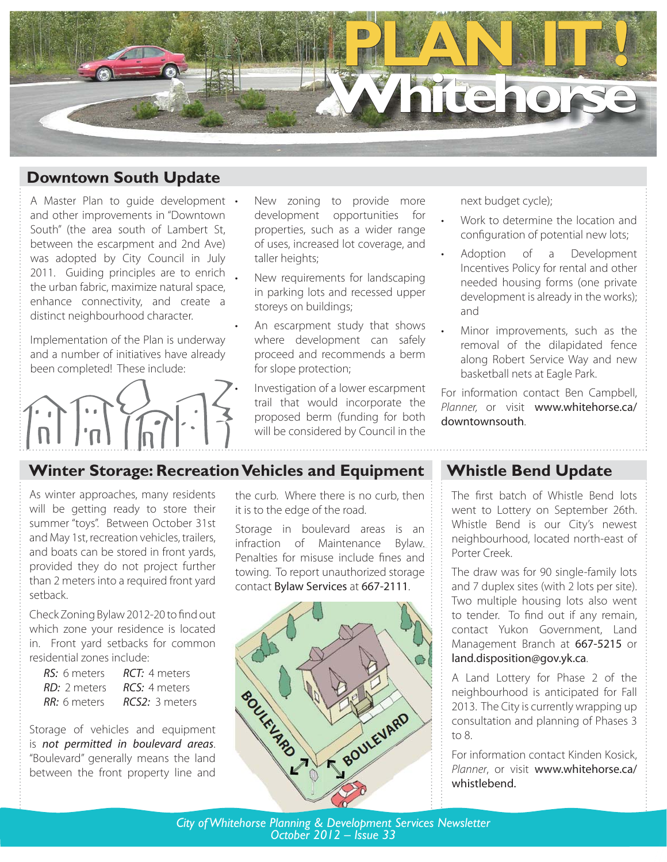

# **Downtown South Update**

A Master Plan to guide development . • 2011. Guiding principles are to enrich and other improvements in "Downtown South" (the area south of Lambert St, between the escarpment and 2nd Ave) was adopted by City Council in July the urban fabric, maximize natural space, enhance connectivity, and create a distinct neighbourhood character.

Implementation of the Plan is underway and a number of initiatives have already been completed! These include:



- New zoning to provide more development opportunities for properties, such as a wider range of uses, increased lot coverage, and taller heights;
- New requirements for landscaping in parking lots and recessed upper storeys on buildings;
- An escarpment study that shows where development can safely proceed and recommends a berm for slope protection;
- Investigation of a lower escarpment trail that would incorporate the proposed berm (funding for both will be considered by Council in the

#### next budget cycle);

•

•

- Work to determine the location and configuration of potential new lots;
- Adoption of a Development Incentives Policy for rental and other needed housing forms (one private development is already in the works); and
- Minor improvements, such as the removal of the dilapidated fence along Robert Service Way and new basketball nets at Eagle Park. •

For information contact Ben Campbell, Planner, or visit www.whitehorse.ca/ downtownsouth.

# **Winter Storage: Recreation Vehicles and Equipment**

•

As winter approaches, many residents will be getting ready to store their summer "toys". Between October 31st and May 1st, recreation vehicles, trailers, and boats can be stored in front yards, provided they do not project further than 2 meters into a required front yard setback.

Check Zoning Bylaw 2012-20 to find out which zone your residence is located in. Front yard setbacks for common residential zones include:

| RS: 6 meters | <b>RCT:</b> 4 meters |
|--------------|----------------------|
| RD: 2 meters | <b>RCS:</b> 4 meters |
| RR: 6 meters | RCS2: 3 metres       |

Storage of vehicles and equipment is not permitted in boulevard areas. "Boulevard" generally means the land between the front property line and

the curb. Where there is no curb, then it is to the edge of the road.

Storage in boulevard areas is an infraction of Maintenance Bylaw. Penalties for misuse include fines and towing. To report unauthorized storage contact Bylaw Services at 667-2111.



## **Whistle Bend Update**

The first batch of Whistle Bend lots went to Lottery on September 26th. Whistle Bend is our City's newest neighbourhood, located north-east of Porter Creek.

The draw was for 90 single-family lots and 7 duplex sites (with 2 lots per site). Two multiple housing lots also went to tender. To find out if any remain, contact Yukon Government, Land Management Branch at 667-5215 or land.disposition@gov.yk.ca.

A Land Lottery for Phase 2 of the neighbourhood is anticipated for Fall 2013. The City is currently wrapping up consultation and planning of Phases 3 to 8.

For information contact Kinden Kosick, Planner, or visit www.whitehorse.ca/ whistlebend.